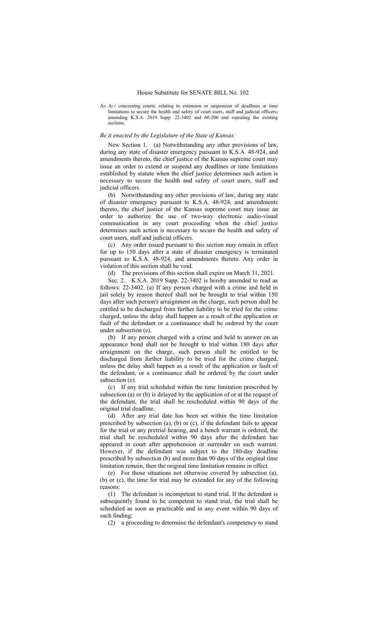AN ACT concerning courts; relating to extension or suspension of deadlines or time limitations to secure the health and safety of court users, staff and judicial officers; amending K.S.A. 2019 Supp. 22-3402 and 60-206 and repealing the existing sections.

## *Be it enacted by the Legislature of the State of Kansas:*

New Section 1. (a) Notwithstanding any other provisions of law, during any state of disaster emergency pursuant to K.S.A. 48-924, and amendments thereto, the chief justice of the Kansas supreme court may issue an order to extend or suspend any deadlines or time limitations established by statute when the chief justice determines such action is necessary to secure the health and safety of court users, staff and judicial officers.

(b) Notwithstanding any other provisions of law, during any state of disaster emergency pursuant to K.S.A. 48-924, and amendments thereto, the chief justice of the Kansas supreme court may issue an order to authorize the use of two-way electronic audio-visual communication in any court proceeding when the chief justice determines such action is necessary to secure the health and safety of court users, staff and judicial officers.

(c) Any order issued pursuant to this section may remain in effect for up to 150 days after a state of disaster emergency is terminated pursuant to K.S.A. 48-924, and amendments thereto. Any order in violation of this section shall be void.

(d) The provisions of this section shall expire on March 31, 2021.

Sec. 2. K.S.A. 2019 Supp. 22-3402 is hereby amended to read as follows: 22-3402. (a) If any person charged with a crime and held in jail solely by reason thereof shall not be brought to trial within 150 days after such person's arraignment on the charge, such person shall be entitled to be discharged from further liability to be tried for the crime charged, unless the delay shall happen as a result of the application or fault of the defendant or a continuance shall be ordered by the court under subsection (e).

(b) If any person charged with a crime and held to answer on an appearance bond shall not be brought to trial within 180 days after arraignment on the charge, such person shall be entitled to be discharged from further liability to be tried for the crime charged, unless the delay shall happen as a result of the application or fault of the defendant, or a continuance shall be ordered by the court under subsection (e).

(c) If any trial scheduled within the time limitation prescribed by subsection (a) or (b) is delayed by the application of or at the request of the defendant, the trial shall be rescheduled within 90 days of the original trial deadline.

(d) After any trial date has been set within the time limitation prescribed by subsection (a), (b) or (c), if the defendant fails to appear for the trial or any pretrial hearing, and a bench warrant is ordered, the trial shall be rescheduled within 90 days after the defendant has appeared in court after apprehension or surrender on such warrant. However, if the defendant was subject to the 180-day deadline prescribed by subsection (b) and more than 90 days of the original time limitation remain, then the original time limitation remains in effect.

(e) For those situations not otherwise covered by subsection (a), (b) or (c), the time for trial may be extended for any of the following reasons:

(1) The defendant is incompetent to stand trial. If the defendant is subsequently found to be competent to stand trial, the trial shall be scheduled as soon as practicable and in any event within 90 days of such finding;

(2) a proceeding to determine the defendant's competency to stand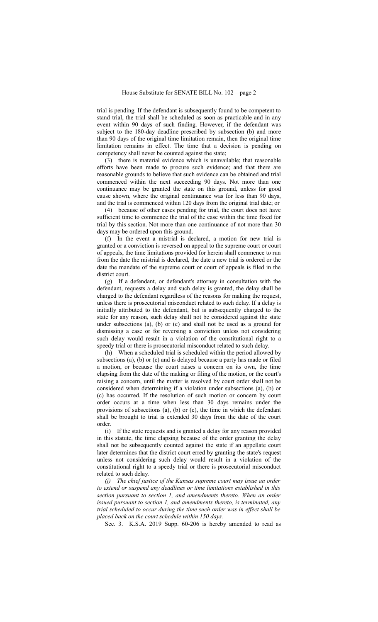trial is pending. If the defendant is subsequently found to be competent to stand trial, the trial shall be scheduled as soon as practicable and in any event within 90 days of such finding. However, if the defendant was subject to the 180-day deadline prescribed by subsection (b) and more than 90 days of the original time limitation remain, then the original time limitation remains in effect. The time that a decision is pending on competency shall never be counted against the state;

(3) there is material evidence which is unavailable; that reasonable efforts have been made to procure such evidence; and that there are reasonable grounds to believe that such evidence can be obtained and trial commenced within the next succeeding 90 days. Not more than one continuance may be granted the state on this ground, unless for good cause shown, where the original continuance was for less than 90 days, and the trial is commenced within 120 days from the original trial date; or

(4) because of other cases pending for trial, the court does not have sufficient time to commence the trial of the case within the time fixed for trial by this section. Not more than one continuance of not more than 30 days may be ordered upon this ground.

(f) In the event a mistrial is declared, a motion for new trial is granted or a conviction is reversed on appeal to the supreme court or court of appeals, the time limitations provided for herein shall commence to run from the date the mistrial is declared, the date a new trial is ordered or the date the mandate of the supreme court or court of appeals is filed in the district court.

(g) If a defendant, or defendant's attorney in consultation with the defendant, requests a delay and such delay is granted, the delay shall be charged to the defendant regardless of the reasons for making the request, unless there is prosecutorial misconduct related to such delay. If a delay is initially attributed to the defendant, but is subsequently charged to the state for any reason, such delay shall not be considered against the state under subsections (a), (b) or (c) and shall not be used as a ground for dismissing a case or for reversing a conviction unless not considering such delay would result in a violation of the constitutional right to a speedy trial or there is prosecutorial misconduct related to such delay.

(h) When a scheduled trial is scheduled within the period allowed by subsections (a), (b) or (c) and is delayed because a party has made or filed a motion, or because the court raises a concern on its own, the time elapsing from the date of the making or filing of the motion, or the court's raising a concern, until the matter is resolved by court order shall not be considered when determining if a violation under subsections (a), (b) or (c) has occurred. If the resolution of such motion or concern by court order occurs at a time when less than 30 days remains under the provisions of subsections (a), (b) or (c), the time in which the defendant shall be brought to trial is extended 30 days from the date of the court order.

(i) If the state requests and is granted a delay for any reason provided in this statute, the time elapsing because of the order granting the delay shall not be subsequently counted against the state if an appellate court later determines that the district court erred by granting the state's request unless not considering such delay would result in a violation of the constitutional right to a speedy trial or there is prosecutorial misconduct related to such delay.

*(j) The chief justice of the Kansas supreme court may issue an order to extend or suspend any deadlines or time limitations established in this section pursuant to section 1, and amendments thereto. When an order issued pursuant to section 1, and amendments thereto, is terminated, any trial scheduled to occur during the time such order was in effect shall be placed back on the court schedule within 150 days.*

Sec. 3. K.S.A. 2019 Supp. 60-206 is hereby amended to read as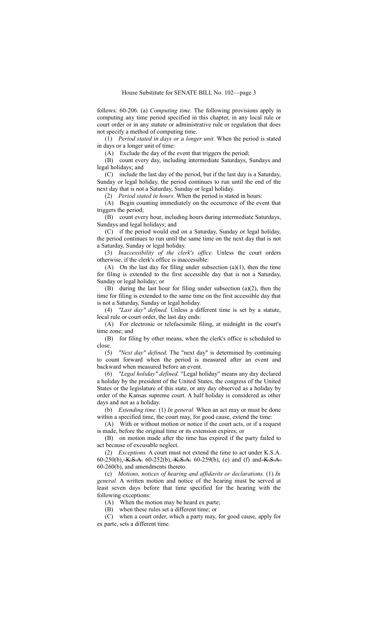follows: 60-206. (a) *Computing time.* The following provisions apply in computing any time period specified in this chapter, in any local rule or court order or in any statute or administrative rule or regulation that does not specify a method of computing time.

(1) *Period stated in days or a longer unit.* When the period is stated in days or a longer unit of time:

(A) Exclude the day of the event that triggers the period;

(B) count every day, including intermediate Saturdays, Sundays and legal holidays; and

(C) include the last day of the period, but if the last day is a Saturday, Sunday or legal holiday, the period continues to run until the end of the next day that is not a Saturday, Sunday or legal holiday.

(2) *Period stated in hours.* When the period is stated in hours:

(A) Begin counting immediately on the occurrence of the event that triggers the period;

(B) count every hour, including hours during intermediate Saturdays, Sundays and legal holidays; and

(C) if the period would end on a Saturday, Sunday or legal holiday, the period continues to run until the same time on the next day that is not a Saturday, Sunday or legal holiday.

(3) *Inaccessibility of the clerk's office.* Unless the court orders otherwise, if the clerk's office is inaccessible:

(A) On the last day for filing under subsection  $(a)(1)$ , then the time for filing is extended to the first accessible day that is not a Saturday, Sunday or legal holiday; or

(B) during the last hour for filing under subsection (a)(2), then the time for filing is extended to the same time on the first accessible day that is not a Saturday, Sunday or legal holiday.

(4) *"Last day" defined.* Unless a different time is set by a statute, local rule or court order, the last day ends:

(A) For electronic or telefacsimile filing, at midnight in the court's time zone; and

(B) for filing by other means, when the clerk's office is scheduled to close.

(5) *"Next day" defined.* The "next day" is determined by continuing to count forward when the period is measured after an event and backward when measured before an event.

(6) *"Legal holiday" defined.* "Legal holiday" means any day declared a holiday by the president of the United States, the congress of the United States or the legislature of this state, or any day observed as a holiday by order of the Kansas supreme court. A half holiday is considered as other days and not as a holiday.

(b) *Extending time.* (1) *In general.* When an act may or must be done within a specified time, the court may, for good cause, extend the time:

(A) With or without motion or notice if the court acts, or if a request is made, before the original time or its extension expires; or

(B) on motion made after the time has expired if the party failed to act because of excusable neglect.

(2) *Exceptions.* A court must not extend the time to act under K.S.A. 60-250(b), K.S.A. 60-252(b), K.S.A. 60-259(b), (e) and (f) and K.S.A. 60-260(b), and amendments thereto.

(c) *Motions, notices of hearing and affidavits or declarations.* (1) *In general.* A written motion and notice of the hearing must be served at least seven days before that time specified for the hearing with the following exceptions:

(A) When the motion may be heard ex parte;

(B) when these rules set a different time; or

(C) when a court order, which a party may, for good cause, apply for ex parte, sets a different time.